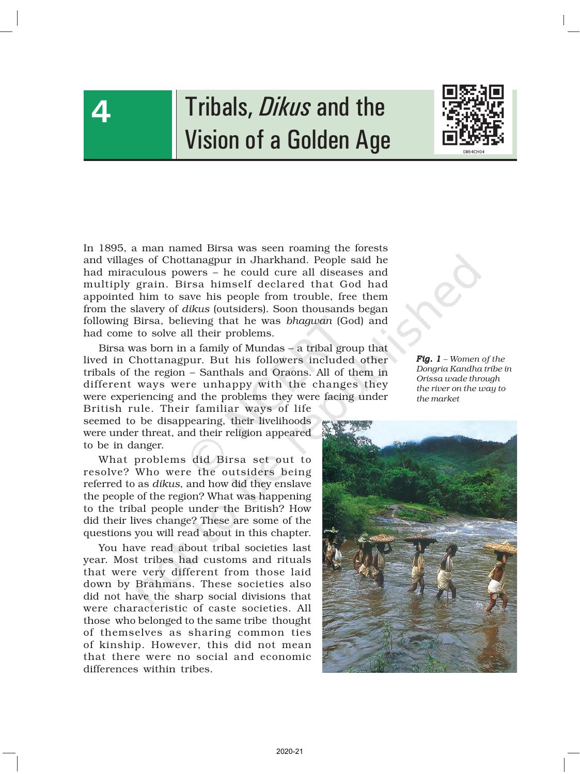

# Tribals, *Dikus* and the Vision of a Golden Age



In 1895, a man named Birsa was seen roaming the forests and villages of Chottanagpur in Jharkhand. People said he had miraculous powers – he could cure all diseases and multiply grain. Birsa himself declared that God had appointed him to save his people from trouble, free them from the slavery of *dikus* (outsiders). Soon thousands began following Birsa, believing that he was *bhagwan* (God) and had come to solve all their problems.

Birsa was born in a family of Mundas – a tribal group that lived in Chottanagpur. But his followers included other tribals of the region – Santhals and Oraons. All of them in different ways were unhappy with the changes they were experiencing and the problems they were facing under

British rule. Their familiar ways of life seemed to be disappearing, their livelihoods were under threat, and their religion appeared to be in danger.

What problems did Birsa set out to resolve? Who were the outsiders being referred to as *dikus*, and how did they enslave the people of the region? What was happening to the tribal people under the British? How did their lives change? These are some of the questions you will read about in this chapter.

You have read about tribal societies last year. Most tribes had customs and rituals that were very different from those laid down by Brahmans. These societies also did not have the sharp social divisions that were characteristic of caste societies. All those who belonged to the same tribe thought of themselves as sharing common ties of kinship. However, this did not mean that there were no social and economic differences within tribes.

*Fig. 1 – Women of the Dongria Kandha tribe in Orissa wade through the river on the way to the market*

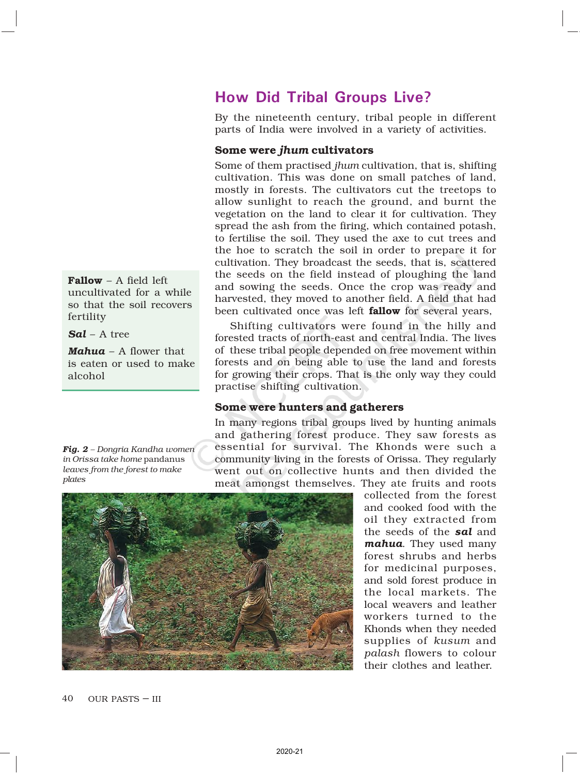Fallow – A field left uncultivated for a while so that the soil recovers fertility

*Sal* – A tree

*Mahua* – A flower that is eaten or used to make alcohol

#### *Fig. 2 – Dongria Kandha women in Orissa take home* pandanus *leaves from the forest to make plates*

# How Did Tribal Groups Live?

By the nineteenth century, tribal people in different parts of India were involved in a variety of activities.

## Some were *jhum* cultivators

Some of them practised *jhum* cultivation, that is, shifting cultivation. This was done on small patches of land, mostly in forests. The cultivators cut the treetops to allow sunlight to reach the ground, and burnt the vegetation on the land to clear it for cultivation. They spread the ash from the firing, which contained potash, to fertilise the soil. They used the axe to cut trees and the hoe to scratch the soil in order to prepare it for cultivation. They broadcast the seeds, that is, scattered the seeds on the field instead of ploughing the land and sowing the seeds. Once the crop was ready and harvested, they moved to another field. A field that had been cultivated once was left **fallow** for several years,

Shifting cultivators were found in the hilly and forested tracts of north-east and central India. The lives of these tribal people depended on free movement within forests and on being able to use the land and forests for growing their crops. That is the only way they could practise shifting cultivation.

## Some were hunters and gatherers

In many regions tribal groups lived by hunting animals and gathering forest produce. They saw forests as essential for survival. The Khonds were such a community living in the forests of Orissa. They regularly went out on collective hunts and then divided the meat amongst themselves. They ate fruits and roots

collected from the forest and cooked food with the oil they extracted from the seeds of the *sal* and *mahua*. They used many forest shrubs and herbs for medicinal purposes, and sold forest produce in the local markets. The local weavers and leather workers turned to the Khonds when they needed supplies of *kusum* and *palash* flowers to colour their clothes and leather.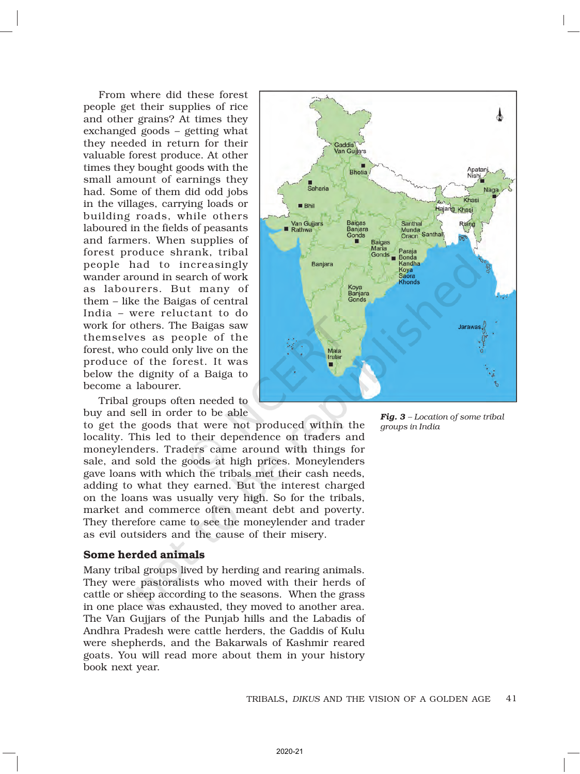From where did these forest people get their supplies of rice and other grains? At times they exchanged goods – getting what they needed in return for their valuable forest produce. At other times they bought goods with the small amount of earnings they had. Some of them did odd jobs in the villages, carrying loads or building roads, while others laboured in the fields of peasants and farmers. When supplies of forest produce shrank, tribal people had to increasingly wander around in search of work as labourers. But many of them – like the Baigas of central India – were reluctant to do work for others. The Baigas saw themselves as people of the forest, who could only live on the produce of the forest. It was below the dignity of a Baiga to become a labourer.

Tribal groups often needed to buy and sell in order to be able

to get the goods that were not produced within the locality. This led to their dependence on traders and moneylenders. Traders came around with things for sale, and sold the goods at high prices. Moneylenders gave loans with which the tribals met their cash needs, adding to what they earned. But the interest charged on the loans was usually very high. So for the tribals, market and commerce often meant debt and poverty. They therefore came to see the moneylender and trader as evil outsiders and the cause of their misery.

#### Some herded animals

Many tribal groups lived by herding and rearing animals. They were pastoralists who moved with their herds of cattle or sheep according to the seasons. When the grass in one place was exhausted, they moved to another area. The Van Gujjars of the Punjab hills and the Labadis of Andhra Pradesh were cattle herders, the Gaddis of Kulu were shepherds, and the Bakarwals of Kashmir reared goats. You will read more about them in your history book next year.



*Fig. 3 – Location of some tribal groups in India*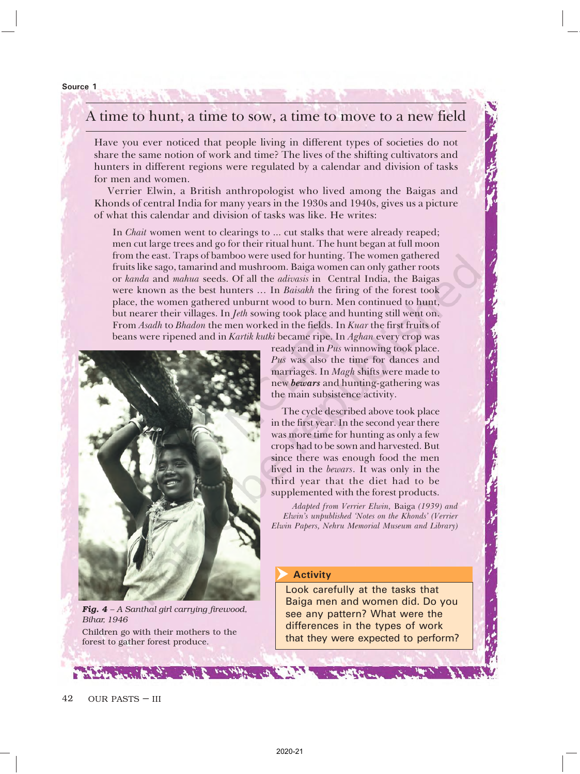#### Source 1

## A time to hunt, a time to sow, a time to move to a new field

Have you ever noticed that people living in different types of societies do not share the same notion of work and time? The lives of the shifting cultivators and hunters in different regions were regulated by a calendar and division of tasks for men and women.

Verrier Elwin, a British anthropologist who lived among the Baigas and Khonds of central India for many years in the 1930s and 1940s, gives us a picture of what this calendar and division of tasks was like. He writes:

In Chait women went to clearings to ... cut stalks that were already reaped; men cut large trees and go for their ritual hunt. The hunt began at full moon from the east. Traps of bamboo were used for hunting. The women gathered fruits like sago, tamarind and mushroom. Baiga women can only gather roots or kanda and mahua seeds. Of all the adivasis in Central India, the Baigas were known as the best hunters … In Baisakh the firing of the forest took place, the women gathered unburnt wood to burn. Men continued to hunt, but nearer their villages. In Jeth sowing took place and hunting still went on. From Asadh to Bhadon the men worked in the fields. In Kuar the first fruits of beans were ripened and in Kartik kutki became ripe. In Aghan every crop was



ready and in Pus winnowing took place. Pus was also the time for dances and marriages. In Magh shifts were made to new bewars and hunting-gathering was the main subsistence activity.

The cycle described above took place in the first year. In the second year there was more time for hunting as only a few crops had to be sown and harvested. But since there was enough food the men lived in the bewars. It was only in the third year that the diet had to be supplemented with the forest products.

Adapted from Verrier Elwin, Baiga (1939) and Elwin's unpublished 'Notes on the Khonds' (Verrier Elwin Papers, Nehru Memorial Museum and Library)

#### Activity  $\overline{\blacktriangleright}$

Look carefully at the tasks that Baiga men and women did. Do you see any pattern? What were the differences in the types of work that they were expected to perform?

*Fig. 4 – A Santhal girl carrying firewood, Bihar, 1946* Children go with their mothers to the forest to gather forest produce.

 $\mathbf{v}$  , with  $\mathbf{v}$  ,  $\mathbf{v}$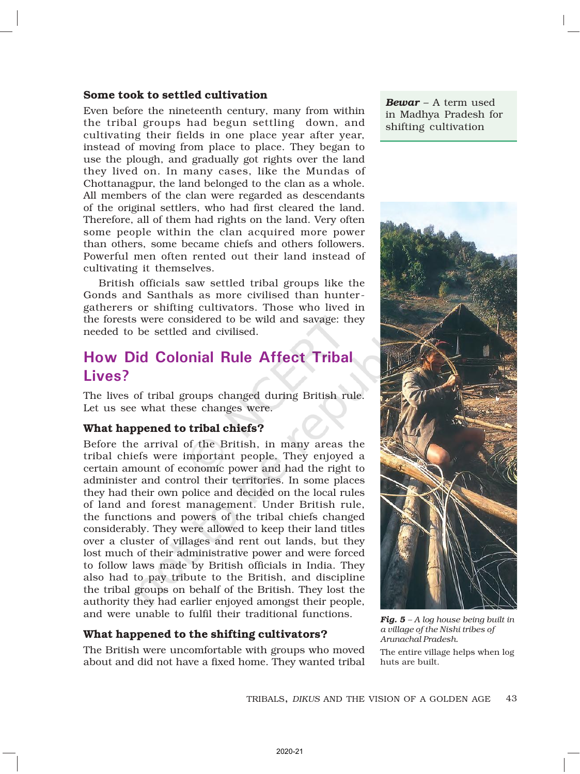#### Some took to settled cultivation

Even before the nineteenth century, many from within the tribal groups had begun settling down, and cultivating their fields in one place year after year, instead of moving from place to place. They began to use the plough, and gradually got rights over the land they lived on. In many cases, like the Mundas of Chottanagpur, the land belonged to the clan as a whole. All members of the clan were regarded as descendants of the original settlers, who had first cleared the land. Therefore, all of them had rights on the land. Very often some people within the clan acquired more power than others, some became chiefs and others followers. Powerful men often rented out their land instead of cultivating it themselves.

British officials saw settled tribal groups like the Gonds and Santhals as more civilised than huntergatherers or shifting cultivators. Those who lived in the forests were considered to be wild and savage: they needed to be settled and civilised.

## How Did Colonial Rule Affect Tribal Lives?

The lives of tribal groups changed during British rule. Let us see what these changes were.

### What happened to tribal chiefs?

Before the arrival of the British, in many areas the tribal chiefs were important people. They enjoyed a certain amount of economic power and had the right to administer and control their territories. In some places they had their own police and decided on the local rules of land and forest management. Under British rule, the functions and powers of the tribal chiefs changed considerably. They were allowed to keep their land titles over a cluster of villages and rent out lands, but they lost much of their administrative power and were forced to follow laws made by British officials in India. They also had to pay tribute to the British, and discipline the tribal groups on behalf of the British. They lost the authority they had earlier enjoyed amongst their people, and were unable to fulfil their traditional functions.

#### What happened to the shifting cultivators?

The British were uncomfortable with groups who moved about and did not have a fixed home. They wanted tribal

*Bewar* – A term used in Madhya Pradesh for shifting cultivation



*Fig. 5 – A log house being built in a village of the Nishi tribes of Arunachal Pradesh.* The entire village helps when log huts are built.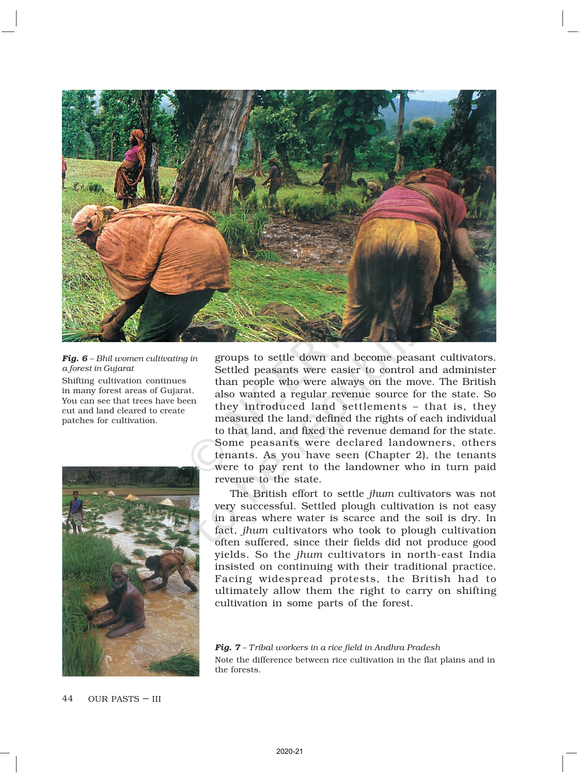

*Fig. 6 – Bhil women cultivating in a forest in Gujarat* Shifting cultivation continues in many forest areas of Gujarat. You can see that trees have been cut and land cleared to create patches for cultivation.



groups to settle down and become peasant cultivators. Settled peasants were easier to control and administer than people who were always on the move. The British also wanted a regular revenue source for the state. So they introduced land settlements – that is, they measured the land, defined the rights of each individual to that land, and fixed the revenue demand for the state. Some peasants were declared landowners, others tenants. As you have seen (Chapter 2), the tenants were to pay rent to the landowner who in turn paid revenue to the state.

The British effort to settle *jhum* cultivators was not very successful. Settled plough cultivation is not easy in areas where water is scarce and the soil is dry. In fact, *jhum* cultivators who took to plough cultivation often suffered, since their fields did not produce good yields. So the *jhum* cultivators in north-east India insisted on continuing with their traditional practice. Facing widespread protests, the British had to ultimately allow them the right to carry on shifting cultivation in some parts of the forest.

*Fig. 7 – Tribal workers in a rice field in Andhra Pradesh* Note the difference between rice cultivation in the flat plains and in the forests.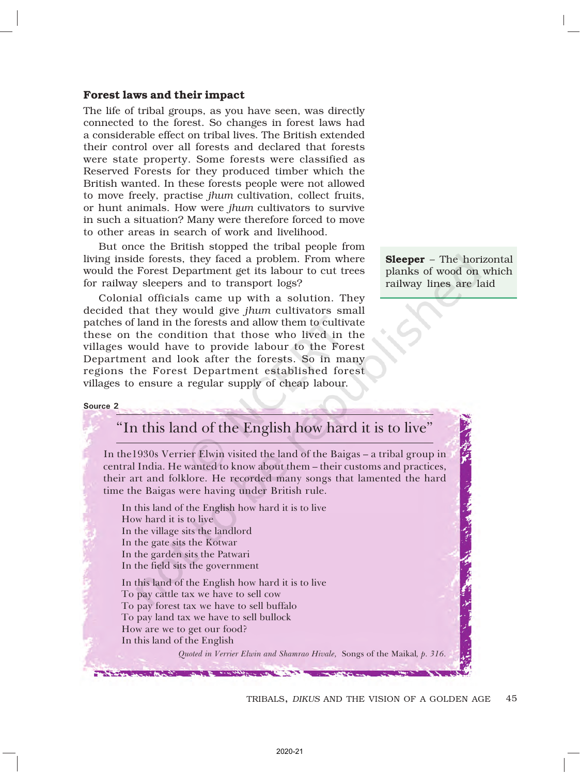#### Forest laws and their impact

The life of tribal groups, as you have seen, was directly connected to the forest. So changes in forest laws had a considerable effect on tribal lives. The British extended their control over all forests and declared that forests were state property. Some forests were classified as Reserved Forests for they produced timber which the British wanted. In these forests people were not allowed to move freely, practise *jhum* cultivation, collect fruits, or hunt animals. How were *jhum* cultivators to survive in such a situation? Many were therefore forced to move to other areas in search of work and livelihood.

But once the British stopped the tribal people from living inside forests, they faced a problem. From where would the Forest Department get its labour to cut trees for railway sleepers and to transport logs?

Colonial officials came up with a solution. They decided that they would give *jhum* cultivators small patches of land in the forests and allow them to cultivate these on the condition that those who lived in the villages would have to provide labour to the Forest Department and look after the forests. So in many regions the Forest Department established forest villages to ensure a regular supply of cheap labour.

Sleeper – The horizontal planks of wood on which railway lines are laid

大学界 こうしょ

#### Source 2

# "In this land of the English how hard it is to live"

In the1930s Verrier Elwin visited the land of the Baigas – a tribal group in central India. He wanted to know about them – their customs and practices, their art and folklore. He recorded many songs that lamented the hard time the Baigas were having under British rule.

In this land of the English how hard it is to live How hard it is to live In the village sits the landlord In the gate sits the Kotwar In the garden sits the Patwari In the field sits the government In this land of the English how hard it is to live To pay cattle tax we have to sell cow To pay forest tax we have to sell buffalo To pay land tax we have to sell bullock How are we to get our food?

**ALCOHOL: 1999** 

In this land of the English

Quoted in Verrier Elwin and Shamrao Hivale, Songs of the Maikal, p. 316.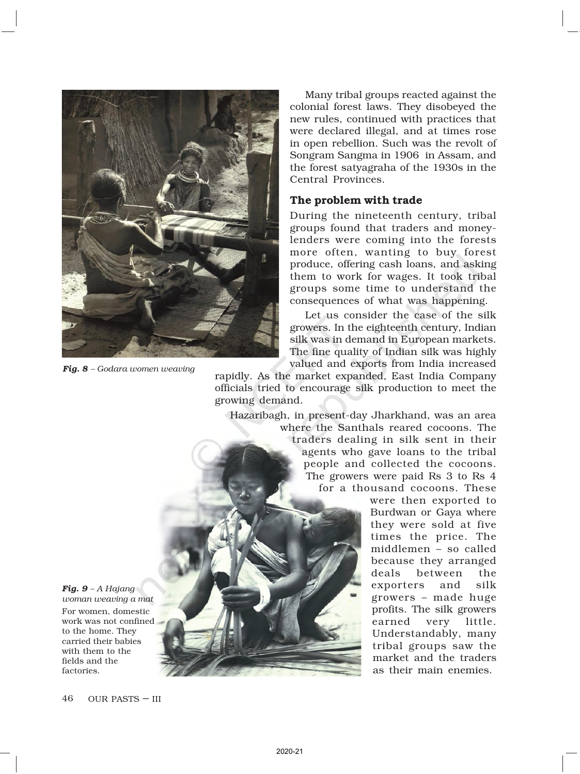

*Fig. 8 – Godara women weaving*

Many tribal groups reacted against the colonial forest laws. They disobeyed the new rules, continued with practices that were declared illegal, and at times rose in open rebellion. Such was the revolt of Songram Sangma in 1906 in Assam, and the forest satyagraha of the 1930s in the Central Provinces.

#### The problem with trade

During the nineteenth century, tribal groups found that traders and moneylenders were coming into the forests more often, wanting to buy forest produce, offering cash loans, and asking them to work for wages. It took tribal groups some time to understand the consequences of what was happening.

Let us consider the case of the silk growers. In the eighteenth century, Indian silk was in demand in European markets. The fine quality of Indian silk was highly valued and exports from India increased

rapidly. As the market expanded, East India Company officials tried to encourage silk production to meet the growing demand.

Hazaribagh, in present-day Jharkhand, was an area where the Santhals reared cocoons. The traders dealing in silk sent in their agents who gave loans to the tribal people and collected the cocoons. The growers were paid Rs 3 to Rs 4 for a thousand cocoons. These



*Fig. 9 – A Hajang woman weaving a mat* For women, domestic work was not confined to the home. They carried their babies with them to the fields and the factories.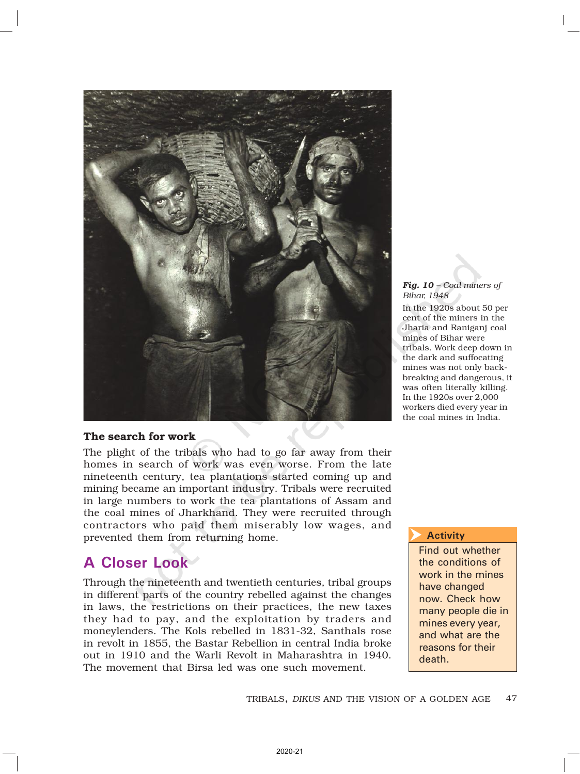

#### *Fig. 10 – Coal miners of Bihar, 1948*

In the 1920s about 50 per cent of the miners in the Jharia and Raniganj coal mines of Bihar were tribals. Work deep down in the dark and suffocating mines was not only backbreaking and dangerous, it was often literally killing. In the 1920s over 2,000 workers died every year in the coal mines in India.

### The search for work

The plight of the tribals who had to go far away from their homes in search of work was even worse. From the late nineteenth century, tea plantations started coming up and mining became an important industry. Tribals were recruited in large numbers to work the tea plantations of Assam and the coal mines of Jharkhand. They were recruited through contractors who paid them miserably low wages, and prevented them from returning home.

# A Closer Look

Through the nineteenth and twentieth centuries, tribal groups in different parts of the country rebelled against the changes in laws, the restrictions on their practices, the new taxes they had to pay, and the exploitation by traders and moneylenders. The Kols rebelled in 1831-32, Santhals rose in revolt in 1855, the Bastar Rebellion in central India broke out in 1910 and the Warli Revolt in Maharashtra in 1940. The movement that Birsa led was one such movement.

#### **Activity**  $\overline{\blacktriangleright}$

Find out whether the conditions of work in the mines have changed now. Check how many people die in mines every year, and what are the reasons for their death.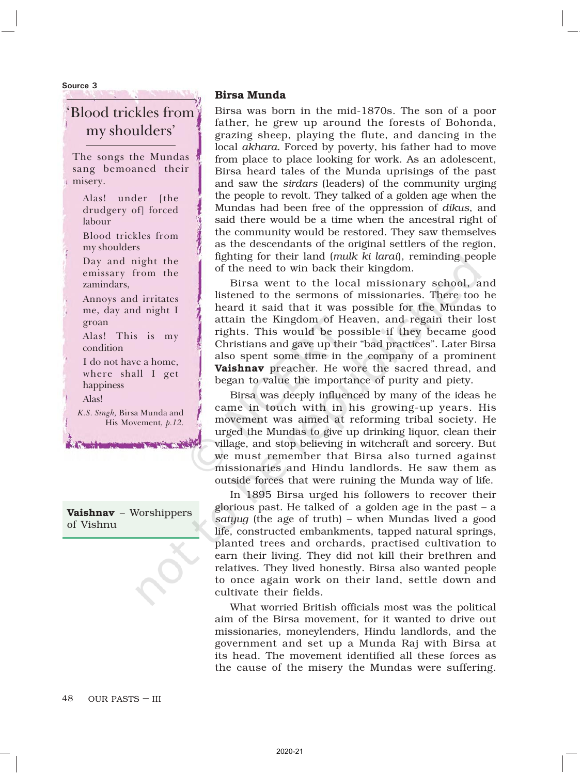Source 3

# 'Blood trickles from my shoulders'

The songs the Mundas sang bemoaned their misery.

- Alas! under [the drudgery of] forced labour
- Blood trickles from my shoulders

Day and night the emissary from the zamindars,

- Annoys and irritates me, day and night I groan
- Alas! This is my condition
- I do not have a home, where shall I get happiness Alas!

His Movement, p.12.

**WASHINGTON OF THE BRIDE** 

K.S. Singh, Birsa Munda and

Vaishnav – Worshippers of Vishnu

#### Birsa Munda

Birsa was born in the mid-1870s. The son of a poor father, he grew up around the forests of Bohonda, grazing sheep, playing the flute, and dancing in the local *akhara*. Forced by poverty, his father had to move from place to place looking for work. As an adolescent, Birsa heard tales of the Munda uprisings of the past and saw the *sirdars* (leaders) of the community urging the people to revolt. They talked of a golden age when the Mundas had been free of the oppression of *dikus*, and said there would be a time when the ancestral right of the community would be restored. They saw themselves as the descendants of the original settlers of the region, fighting for their land (*mulk ki larai*), reminding people of the need to win back their kingdom.

Birsa went to the local missionary school, and listened to the sermons of missionaries. There too he heard it said that it was possible for the Mundas to attain the Kingdom of Heaven, and regain their lost rights. This would be possible if they became good Christians and gave up their "bad practices". Later Birsa also spent some time in the company of a prominent Vaishnav preacher. He wore the sacred thread, and began to value the importance of purity and piety.

Birsa was deeply influenced by many of the ideas he came in touch with in his growing-up years. His movement was aimed at reforming tribal society. He urged the Mundas to give up drinking liquor, clean their village, and stop believing in witchcraft and sorcery. But we must remember that Birsa also turned against missionaries and Hindu landlords. He saw them as outside forces that were ruining the Munda way of life.

In 1895 Birsa urged his followers to recover their glorious past. He talked of a golden age in the past – a *satyug* (the age of truth) – when Mundas lived a good life, constructed embankments, tapped natural springs, planted trees and orchards, practised cultivation to earn their living. They did not kill their brethren and relatives. They lived honestly. Birsa also wanted people to once again work on their land, settle down and cultivate their fields.

What worried British officials most was the political aim of the Birsa movement, for it wanted to drive out missionaries, moneylenders, Hindu landlords, and the government and set up a Munda Raj with Birsa at its head. The movement identified all these forces as the cause of the misery the Mundas were suffering.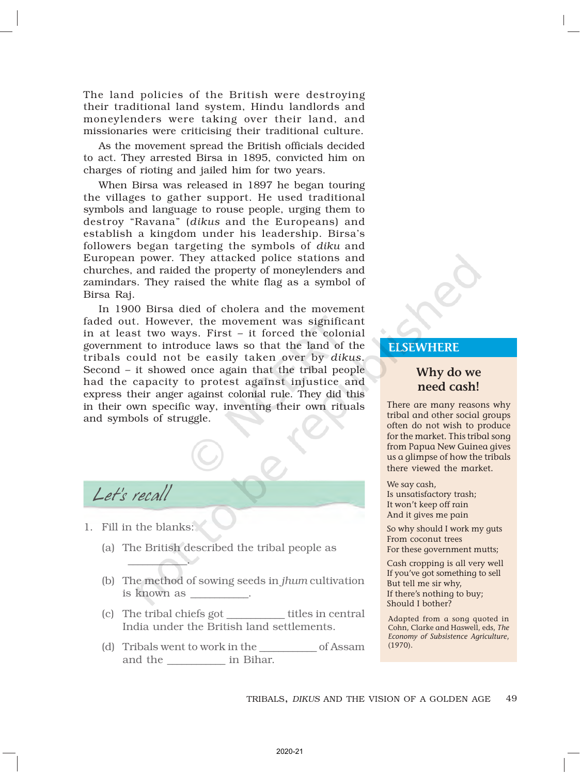The land policies of the British were destroying their traditional land system, Hindu landlords and moneylenders were taking over their land, and missionaries were criticising their traditional culture.

As the movement spread the British officials decided to act. They arrested Birsa in 1895, convicted him on charges of rioting and jailed him for two years.

When Birsa was released in 1897 he began touring the villages to gather support. He used traditional symbols and language to rouse people, urging them to destroy "Ravana" (*dikus* and the Europeans) and establish a kingdom under his leadership. Birsa's followers began targeting the symbols of *diku* and European power. They attacked police stations and churches, and raided the property of moneylenders and zamindars. They raised the white flag as a symbol of Birsa Raj.

In 1900 Birsa died of cholera and the movement faded out. However, the movement was significant in at least two ways. First – it forced the colonial government to introduce laws so that the land of the tribals could not be easily taken over by *dikus*. Second – it showed once again that the tribal people had the capacity to protest against injustice and express their anger against colonial rule. They did this in their own specific way, inventing their own rituals and symbols of struggle.

Let's recall

1. Fill in the blanks:

 $\frac{1}{2}$ 

- (a) The British described the tribal people as
- (b) The method of sowing seeds in *jhum* cultivation is known as
- (c) The tribal chiefs got \_\_\_\_\_\_\_\_\_\_\_\_ titles in central India under the British land settlements.
- (d) Tribals went to work in the \_\_\_\_\_\_\_\_\_\_\_\_ of Assam and the  $\qquad \qquad$  in Bihar.

## **ELSEWHERE**

## Why do we need cash!

There are many reasons why tribal and other social groups often do not wish to produce for the market. This tribal song from Papua New Guinea gives us a glimpse of how the tribals there viewed the market.

We say cash, Is unsatisfactory trash; It won't keep off rain And it gives me pain

So why should I work my guts From coconut trees

For these government mutts; Cash cropping is all very well

If you've got something to sell But tell me sir why, If there's nothing to buy; Should I bother?

Adapted from a song quoted in Cohn, Clarke and Haswell, eds, The Economy of Subsistence Agriculture, (1970).